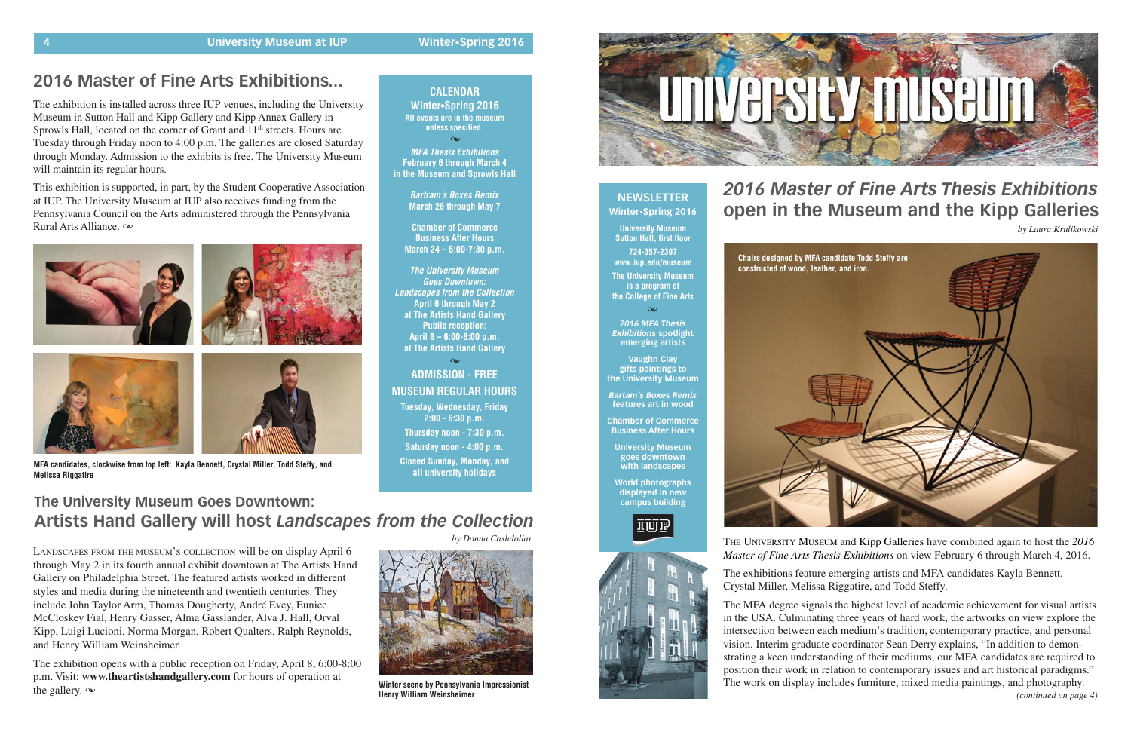### **2016 Master of Fine Arts Exhibitions...**

**MFA Thesis Exhibitions February 6 through March 4 in the Museum and Sprowls Hall**

 $\infty$ 

**Bartram's Boxes Remix March 26 through May 7**

**Chamber of Commerce Business After Hours March 24 – 5:00-7:30 p.m.**

**The University Museum Goes Downtown: Landscapes from the Collection April 6 through May 2 at The Artists Hand Gallery Public reception: April 8 – 6:00-8:00 p.m. at The Artists Hand Gallery**

 $\infty$ 

### **CALENDAR Winter•Spring 2016 All events are in the museum unless specified.**

**ADMISSION - FREE MUSEUM REGULAR HOURS Tuesday, Wednesday, Friday 2:00 - 6:30 p.m. Thursday noon - 7:30 p.m. Saturday noon - 4:00 p.m. Closed Sunday, Monday, and**

**all university holidays MFA candidates, clockwise from top left: Kayla Bennett, Crystal Miller, Todd Steffy, and Melissa Riggatire**

### **NEWSLETTER Winter•Spring 2016**

**University Museum Sutton Hall, first floor 724-357-2397 www.iup.edu/museum The University Museum is a program of**

**the College of Fine Arts**

 $\alpha$ 

*2016 MFA Thesis Exhibitions* **spotlight emerging artists**

**Vaughn Clay gifts paintings to the University Museum**

*Bartam's Boxes Remix* **features art in wood**

**Chamber of Commerce Business After Hours**

**University Museum goes downtown with landscapes**

**World photographs displayed in new campus building**





# *2016 Master of Fine Arts Thesis Exhibitions* **open in the Museum and the Kipp Galleries**

This exhibition is supported, in part, by the Student Cooperative Association at IUP. The University Museum at IUP also receives funding from the Pennsylvania Council on the Arts administered through the Pennsylvania Rural Arts Alliance.  $\infty$ 









THE UNIVERSITY MUSEUM and Kipp Galleries have combined again to host the *2016 Master of Fine Arts Thesis Exhibitions* on view February 6 through March 4, 2016.

The exhibitions feature emerging artists and MFA candidates Kayla Bennett, Crystal Miller, Melissa Riggatire, and Todd Steffy.

The exhibition opens with a public reception on Friday, April 8, 6:00-8:00 p.m. Visit: **www.theartistshandgallery.com** for hours of operation at the gallery.  $\infty$ 

*by Laura Krulikowski*



The MFA degree signals the highest level of academic achievement for visual artists in the USA. Culminating three years of hard work, the artworks on view explore the intersection between each medium's tradition, contemporary practice, and personal vision. Interim graduate coordinator Sean Derry explains, "In addition to demonstrating a keen understanding of their mediums, our MFA candidates are required to position their work in relation to contemporary issues and art historical paradigms." The work on display includes furniture, mixed media paintings, and photography. *(continued on page 4)*

The exhibition is installed across three IUP venues, including the University Museum in Sutton Hall and Kipp Gallery and Kipp Annex Gallery in Sprowls Hall, located on the corner of Grant and 11<sup>th</sup> streets. Hours are Tuesday through Friday noon to 4:00 p.m. The galleries are closed Saturday through Monday. Admission to the exhibits is free. The University Museum will maintain its regular hours.

### **The University Museum Goes Downtown: Artists Hand Gallery will host** *Landscapes from the Collection*

LANDSCAPES FROM THE MUSEUM'S COLLECTION will be on display April 6 through May 2 in its fourth annual exhibit downtown at The Artists Hand Gallery on Philadelphia Street. The featured artists worked in different styles and media during the nineteenth and twentieth centuries. They include John Taylor Arm, Thomas Dougherty, André Evey, Eunice McCloskey Fial, Henry Gasser, Alma Gasslander, Alva J. Hall, Orval Kipp, Luigi Lucioni, Norma Morgan, Robert Qualters, Ralph Reynolds, and Henry William Weinsheimer.



**Winter scene by Pennsylvania Impressionist Henry William Weinsheimer**